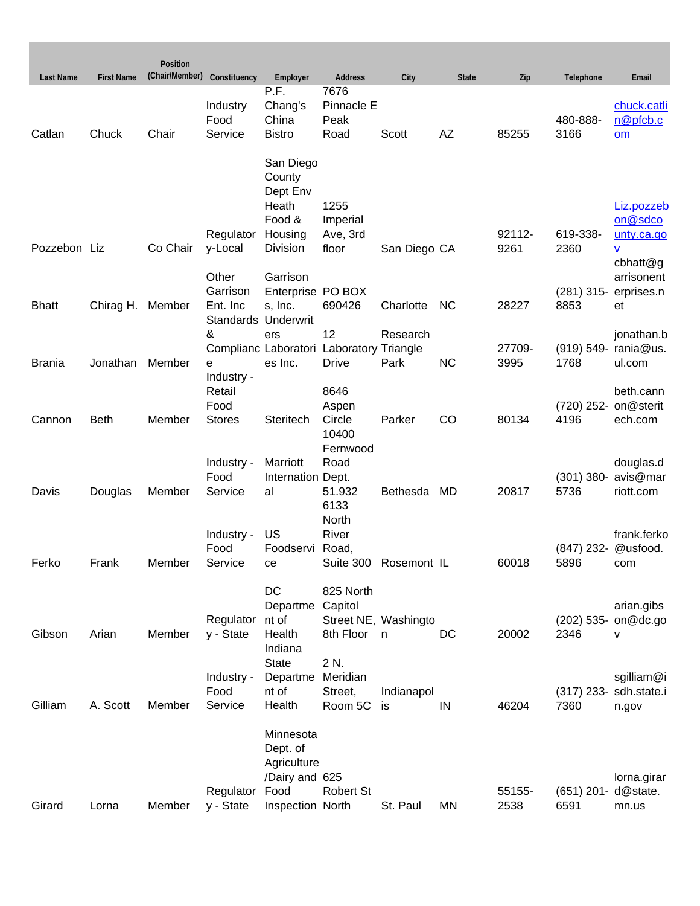| <b>Last Name</b> | <b>First Name</b> | Position<br>(Chair/Member) | Constituency                                | Employer                                  | <b>Address</b>                     | City                  | <b>State</b> | Zip            | Telephone           | Email                               |
|------------------|-------------------|----------------------------|---------------------------------------------|-------------------------------------------|------------------------------------|-----------------------|--------------|----------------|---------------------|-------------------------------------|
| Catlan           | Chuck             | Chair                      | Industry<br>Food<br>Service                 | P.F.<br>Chang's<br>China<br><b>Bistro</b> | 7676<br>Pinnacle E<br>Peak<br>Road | Scott                 | AZ           | 85255          | 480-888-<br>3166    | chuck.catli<br>n@pfcb.c<br>om       |
|                  |                   |                            |                                             | San Diego<br>County<br>Dept Env<br>Heath  | 1255                               |                       |              |                |                     | Liz.pozzeb                          |
|                  |                   |                            |                                             | Food &                                    | Imperial                           |                       |              |                |                     | on@sdco                             |
| Pozzebon Liz     |                   | Co Chair                   | Regulator<br>y-Local                        | Housing<br>Division                       | Ave, 3rd<br>floor                  | San Diego CA          |              | 92112-<br>9261 | 619-338-<br>2360    | unty.ca.go<br>V<br>cbhatt@g         |
|                  |                   |                            | Other                                       | Garrison                                  |                                    |                       |              |                |                     | arrisonent                          |
| <b>Bhatt</b>     | Chirag H. Member  |                            | Garrison<br>Ent. Inc<br>Standards Underwrit | Enterprise PO BOX<br>s, Inc.              | 690426                             | Charlotte             | <b>NC</b>    | 28227          | 8853                | (281) 315- erprises.n<br>et         |
|                  |                   |                            | &                                           | ers                                       | 12                                 | Research              |              |                |                     | jonathan.b                          |
|                  |                   |                            |                                             | Complianc Laboratori Laboratory Triangle  |                                    |                       |              | 27709-         |                     | (919) 549- rania@us.                |
| <b>Brania</b>    | Jonathan          | Member                     | e<br>Industry -                             | es Inc.                                   | <b>Drive</b>                       | Park                  | <b>NC</b>    | 3995           | 1768                | ul.com                              |
|                  |                   |                            | Retail                                      |                                           | 8646                               |                       |              |                |                     | beth.cann                           |
|                  |                   |                            | Food                                        |                                           | Aspen                              |                       |              |                |                     | (720) 252- on@sterit                |
| Cannon           | <b>Beth</b>       | Member                     | <b>Stores</b>                               | Steritech                                 | Circle                             | Parker                | CO           | 80134          | 4196                | ech.com                             |
|                  |                   |                            |                                             |                                           | 10400<br>Fernwood                  |                       |              |                |                     |                                     |
|                  |                   |                            | Industry -                                  | Marriott                                  | Road                               |                       |              |                |                     | douglas.d                           |
|                  |                   |                            | Food                                        | Internation Dept.                         |                                    |                       |              |                |                     | (301) 380- avis@mar                 |
| Davis            | Douglas           | Member                     | Service                                     | al                                        | 51.932<br>6133                     | Bethesda              | MD           | 20817          | 5736                | riott.com                           |
|                  |                   |                            |                                             |                                           | North                              |                       |              |                |                     |                                     |
|                  |                   |                            | Industry -                                  | US                                        | River                              |                       |              |                |                     | frank.ferko                         |
|                  |                   |                            | Food                                        | Foodservi Road,                           |                                    |                       |              |                | (847) 232- @usfood. |                                     |
| Ferko            | Frank             | Member                     | Service                                     | ce                                        |                                    | Suite 300 Rosemont IL |              | 60018          | 5896                | com                                 |
|                  |                   |                            |                                             | DC                                        | 825 North                          |                       |              |                |                     |                                     |
|                  |                   |                            |                                             | Departme Capitol                          |                                    |                       |              |                |                     | arian.gibs                          |
| Gibson           | Arian             | Member                     | Regulator<br>y - State                      | nt of<br>Health                           | 8th Floor n                        | Street NE, Washingto  | DC           | 20002          | 2346                | (202) 535- on@dc.go<br>$\mathsf{v}$ |
|                  |                   |                            |                                             | Indiana                                   |                                    |                       |              |                |                     |                                     |
|                  |                   |                            |                                             | <b>State</b>                              | 2 N.                               |                       |              |                |                     |                                     |
|                  |                   |                            | Industry -                                  | Departme                                  | Meridian                           |                       |              |                |                     | sgilliam@i                          |
| Gilliam          | A. Scott          | Member                     | Food<br>Service                             | nt of<br>Health                           | Street,<br>Room 5C                 | Indianapol<br>is      | IN           | 46204          | 7360                | (317) 233- sdh.state.i<br>n.gov     |
|                  |                   |                            |                                             |                                           |                                    |                       |              |                |                     |                                     |
|                  |                   |                            |                                             | Minnesota<br>Dept. of<br>Agriculture      |                                    |                       |              |                |                     |                                     |
|                  |                   |                            |                                             | /Dairy and 625                            |                                    |                       |              |                |                     | lorna.girar                         |
|                  |                   |                            | Regulator                                   | Food                                      | <b>Robert St</b>                   |                       |              | 55155-         | (651) 201- d@state. |                                     |
| Girard           | Lorna             | Member                     | y - State                                   | Inspection North                          |                                    | St. Paul              | MN           | 2538           | 6591                | mn.us                               |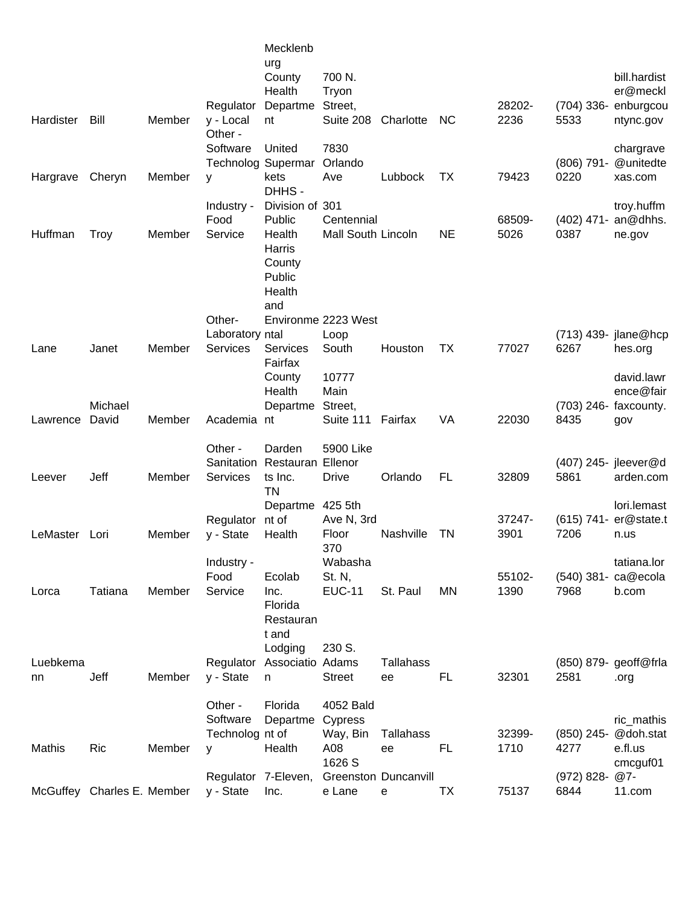| Bill        | Member                          | Regulator<br>y - Local                         | Mecklenb<br>urg<br>County<br>Health<br>Departme<br>nt                                   | 700 N.<br><b>Tryon</b><br>Street,<br>Suite 208                                                                                                                                                                          | Charlotte                                                                                                                                                                             | <b>NC</b>                                                                                                                                 | 28202-<br>2236         | 5533                    | bill.hardist<br>er@meckl<br>(704) 336- enburgcou<br>ntync.gov                                                                 |
|-------------|---------------------------------|------------------------------------------------|-----------------------------------------------------------------------------------------|-------------------------------------------------------------------------------------------------------------------------------------------------------------------------------------------------------------------------|---------------------------------------------------------------------------------------------------------------------------------------------------------------------------------------|-------------------------------------------------------------------------------------------------------------------------------------------|------------------------|-------------------------|-------------------------------------------------------------------------------------------------------------------------------|
|             |                                 | Software                                       | United                                                                                  | 7830                                                                                                                                                                                                                    |                                                                                                                                                                                       |                                                                                                                                           |                        |                         | chargrave                                                                                                                     |
|             |                                 |                                                |                                                                                         |                                                                                                                                                                                                                         |                                                                                                                                                                                       |                                                                                                                                           |                        |                         | @unitedte<br>xas.com                                                                                                          |
|             |                                 |                                                | DHHS-                                                                                   |                                                                                                                                                                                                                         |                                                                                                                                                                                       |                                                                                                                                           |                        |                         |                                                                                                                               |
|             |                                 | Industry -                                     |                                                                                         |                                                                                                                                                                                                                         |                                                                                                                                                                                       |                                                                                                                                           |                        |                         | troy.huffm                                                                                                                    |
| <b>Troy</b> | Member                          | Service                                        | Health<br>Harris<br>County<br>Public<br>Health                                          |                                                                                                                                                                                                                         |                                                                                                                                                                                       | <b>NE</b>                                                                                                                                 | 5026                   | 0387                    | ne.gov                                                                                                                        |
|             |                                 |                                                |                                                                                         |                                                                                                                                                                                                                         |                                                                                                                                                                                       |                                                                                                                                           |                        |                         |                                                                                                                               |
|             |                                 |                                                |                                                                                         | Loop                                                                                                                                                                                                                    |                                                                                                                                                                                       |                                                                                                                                           |                        |                         | (713) 439- jlane@hcp                                                                                                          |
| Janet       | Member                          | <b>Services</b>                                | <b>Services</b><br>Fairfax                                                              | South                                                                                                                                                                                                                   | Houston                                                                                                                                                                               | <b>TX</b>                                                                                                                                 | 77027                  | 6267                    | hes.org                                                                                                                       |
|             |                                 |                                                | County                                                                                  | 10777                                                                                                                                                                                                                   |                                                                                                                                                                                       |                                                                                                                                           |                        |                         | david.lawr                                                                                                                    |
|             |                                 |                                                |                                                                                         |                                                                                                                                                                                                                         |                                                                                                                                                                                       |                                                                                                                                           |                        |                         | ence@fair                                                                                                                     |
| David       | Member                          |                                                |                                                                                         | Suite 111                                                                                                                                                                                                               | Fairfax                                                                                                                                                                               | VA                                                                                                                                        | 22030                  | 8435                    | gov                                                                                                                           |
|             |                                 |                                                |                                                                                         |                                                                                                                                                                                                                         |                                                                                                                                                                                       |                                                                                                                                           |                        |                         |                                                                                                                               |
|             |                                 |                                                |                                                                                         |                                                                                                                                                                                                                         |                                                                                                                                                                                       |                                                                                                                                           |                        |                         |                                                                                                                               |
| Jeff        | Member                          | Services                                       | ts Inc.                                                                                 | <b>Drive</b>                                                                                                                                                                                                            | Orlando                                                                                                                                                                               | <b>FL</b>                                                                                                                                 | 32809                  | 5861                    | arden.com                                                                                                                     |
|             |                                 |                                                |                                                                                         |                                                                                                                                                                                                                         |                                                                                                                                                                                       |                                                                                                                                           |                        |                         | lori.lemast                                                                                                                   |
|             |                                 | Regulator                                      | nt of                                                                                   |                                                                                                                                                                                                                         |                                                                                                                                                                                       |                                                                                                                                           | 37247-                 | $(615)$ 741-            | er@state.t                                                                                                                    |
| Lori        | Member                          | y - State                                      | Health                                                                                  | Floor                                                                                                                                                                                                                   | Nashville                                                                                                                                                                             | TN                                                                                                                                        | 3901                   | 7206                    | n.us                                                                                                                          |
|             |                                 |                                                |                                                                                         |                                                                                                                                                                                                                         |                                                                                                                                                                                       |                                                                                                                                           |                        |                         | tatiana.lor                                                                                                                   |
|             |                                 | Food                                           | Ecolab                                                                                  | St. N,                                                                                                                                                                                                                  |                                                                                                                                                                                       |                                                                                                                                           | 55102-                 |                         | (540) 381- ca@ecola                                                                                                           |
| Tatiana     | Member                          | Service                                        | Inc.                                                                                    | <b>EUC-11</b>                                                                                                                                                                                                           | St. Paul                                                                                                                                                                              | MN                                                                                                                                        | 1390                   | 7968                    | b.com                                                                                                                         |
|             |                                 |                                                | Restauran<br>t and                                                                      |                                                                                                                                                                                                                         |                                                                                                                                                                                       |                                                                                                                                           |                        |                         |                                                                                                                               |
|             |                                 |                                                |                                                                                         |                                                                                                                                                                                                                         |                                                                                                                                                                                       |                                                                                                                                           |                        |                         |                                                                                                                               |
| Jeff        | Member                          | y - State                                      | n.                                                                                      | <b>Street</b>                                                                                                                                                                                                           | ee                                                                                                                                                                                    | FL                                                                                                                                        | 32301                  | 2581                    | .org                                                                                                                          |
|             |                                 | Other -                                        | Florida                                                                                 | 4052 Bald                                                                                                                                                                                                               |                                                                                                                                                                                       |                                                                                                                                           |                        |                         |                                                                                                                               |
|             |                                 | Software                                       |                                                                                         | Cypress                                                                                                                                                                                                                 |                                                                                                                                                                                       |                                                                                                                                           |                        |                         | ric_mathis                                                                                                                    |
|             |                                 |                                                |                                                                                         | Way, Bin                                                                                                                                                                                                                | Tallahass                                                                                                                                                                             |                                                                                                                                           | 32399-                 | $(850)$ 245-            | @doh.stat                                                                                                                     |
|             |                                 |                                                |                                                                                         |                                                                                                                                                                                                                         |                                                                                                                                                                                       |                                                                                                                                           |                        |                         | e.fl.us<br>cmcguf01                                                                                                           |
|             |                                 |                                                |                                                                                         |                                                                                                                                                                                                                         |                                                                                                                                                                                       |                                                                                                                                           |                        | (972) 828- @7-          |                                                                                                                               |
|             |                                 | y - State                                      | Inc.                                                                                    | e Lane                                                                                                                                                                                                                  | e                                                                                                                                                                                     | <b>TX</b>                                                                                                                                 | 75137                  | 6844                    | 11.com                                                                                                                        |
| Luebkema    | Cheryn<br>Michael<br><b>Ric</b> | Member<br>Member<br>McGuffey Charles E. Member | Other -<br>У<br>Food<br>Other-<br>Other -<br>Sanitation<br>Industry -<br>Regulator<br>У | <b>Technolog Supermar</b><br>kets<br>Public<br>and<br>Laboratory ntal<br>Health<br>Departme<br>Academia nt<br>Darden<br><b>TN</b><br>Departme<br>Florida<br>Lodging<br>Technolog nt of<br>Health<br>Regulator 7-Eleven, | Orlando<br>Ave<br>Division of 301<br>Main<br>Street,<br>5900 Like<br><b>Restauran Ellenor</b><br>425 5th<br>370<br>Wabasha<br>230 S.<br>Associatio Adams<br>Departme<br>A08<br>1626 S | Lubbock<br>Centennial<br>Mall South Lincoln<br>Environme 2223 West<br>Ave N, 3rd<br><b>Tallahass</b><br>ee<br><b>Greenston Duncanvill</b> | <b>TX</b><br><b>FL</b> | 79423<br>68509-<br>1710 | $(806)$ 791-<br>0220<br>(402) 471- an@dhhs.<br>(703) 246- faxcounty.<br>(407) 245- jleever@d<br>(850) 879- geoff@frla<br>4277 |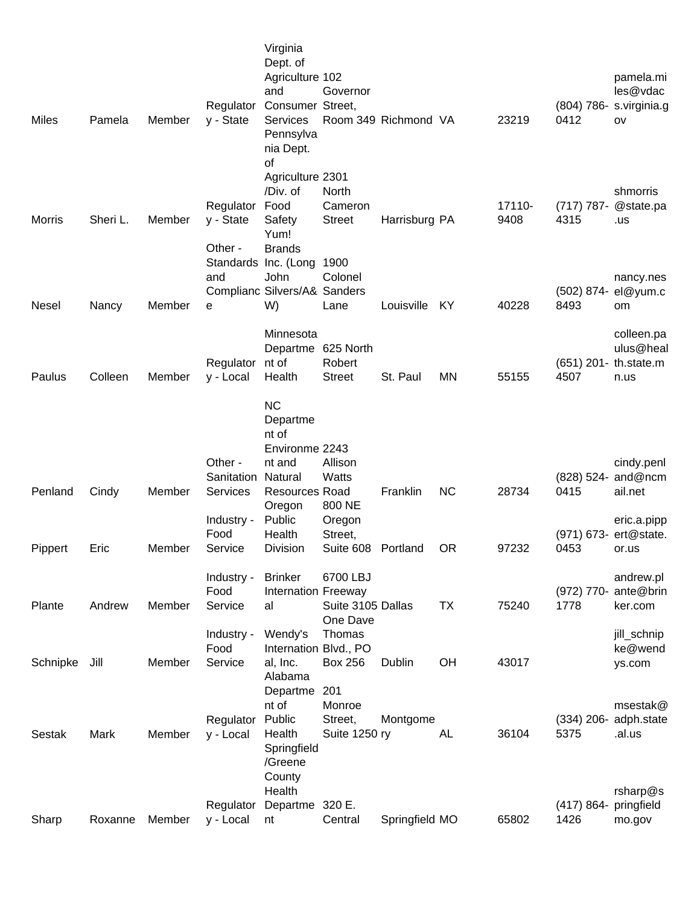| <b>Miles</b> | Pamela   | Member | Regulator<br>y - State            | Virginia<br>Dept. of<br>Agriculture 102<br>and<br>Consumer Street,<br><b>Services</b><br>Pennsylva<br>nia Dept. | Governor                                | Room 349 Richmond VA |           | 23219          | 0412                  | pamela.mi<br>les@vdac<br>(804) 786- s.virginia.g<br>OV |
|--------------|----------|--------|-----------------------------------|-----------------------------------------------------------------------------------------------------------------|-----------------------------------------|----------------------|-----------|----------------|-----------------------|--------------------------------------------------------|
| Morris       | Sheri L. | Member | Regulator<br>y - State<br>Other - | of<br>Agriculture 2301<br>/Div. of<br>Food<br>Safety<br>Yum!<br><b>Brands</b>                                   | North<br>Cameron<br><b>Street</b>       | Harrisburg PA        |           | 17110-<br>9408 | $(717) 787 -$<br>4315 | shmorris<br>@state.pa<br>.us                           |
| <b>Nesel</b> | Nancy    | Member | and<br>е                          | Standards Inc. (Long<br><b>John</b><br>Complianc Silvers/A& Sanders<br>W)                                       | 1900<br>Colonel<br>Lane                 | Louisville           | KY        | 40228          | $(502) 874 -$<br>8493 | nancy.nes<br>el@yum.c<br>om                            |
| Paulus       | Colleen  | Member | Regulator nt of                   | Minnesota<br>Departme 625 North<br>Health                                                                       | Robert<br><b>Street</b>                 | St. Paul             | <b>MN</b> | 55155          | 4507                  | colleen.pa<br>ulus@heal<br>(651) 201- th.state.m       |
|              |          |        | y - Local                         | <b>NC</b><br>Departme<br>nt of<br>Environme 2243                                                                |                                         |                      |           |                |                       | n.us                                                   |
|              |          |        | Other -                           | nt and                                                                                                          | Allison                                 |                      |           |                |                       | cindy.penl                                             |
| Penland      | Cindy    | Member | Sanitation<br><b>Services</b>     | Natural<br><b>Resources Road</b><br>Oregon                                                                      | Watts<br>800 NE                         | Franklin             | <b>NC</b> | 28734          | 0415                  | (828) 524- and@ncm<br>ail.net                          |
| Pippert      | Eric     | Member | Industry -<br>Food<br>Service     | Public<br>Health<br><b>Division</b>                                                                             | Oregon<br>Street,<br>Suite 608 Portland |                      | <b>OR</b> | 97232          | 0453                  | eric.a.pipp<br>(971) 673- ert@state.<br>or.us          |
|              |          |        | Industry -                        | <b>Brinker</b>                                                                                                  | 6700 LBJ                                |                      |           |                |                       | andrew.pl                                              |
| Plante       | Andrew   | Member | Food<br>Service                   | <b>Internation Freeway</b><br>al                                                                                | Suite 3105 Dallas<br>One Dave           |                      | <b>TX</b> | 75240          | 1778                  | (972) 770- ante@brin<br>ker.com                        |
| Schnipke     | Jill     | Member | Industry -<br>Food<br>Service     | Wendy's<br>Internation Blvd., PO<br>al, Inc.                                                                    | Thomas<br><b>Box 256</b>                | Dublin               | OH        | 43017          |                       | jill_schnip<br>ke@wend<br>ys.com                       |
|              |          |        |                                   | Alabama<br>Departme<br>nt of                                                                                    | 201<br>Monroe                           |                      |           |                |                       | msestak@                                               |
| Sestak       | Mark     | Member | Regulator<br>y - Local            | Public<br>Health<br>Springfield<br>/Greene<br>County                                                            | Street,<br>Suite 1250 ry                | Montgome             | <b>AL</b> | 36104          | 5375                  | (334) 206- adph.state<br>.al.us                        |
|              |          |        | Regulator                         | Health<br>Departme                                                                                              | 320 E.                                  |                      |           |                | $(417) 864 -$         | rsharp@s<br>pringfield                                 |
| Sharp        | Roxanne  | Member | y - Local                         | nt                                                                                                              | Central                                 | Springfield MO       |           | 65802          | 1426                  | mo.gov                                                 |